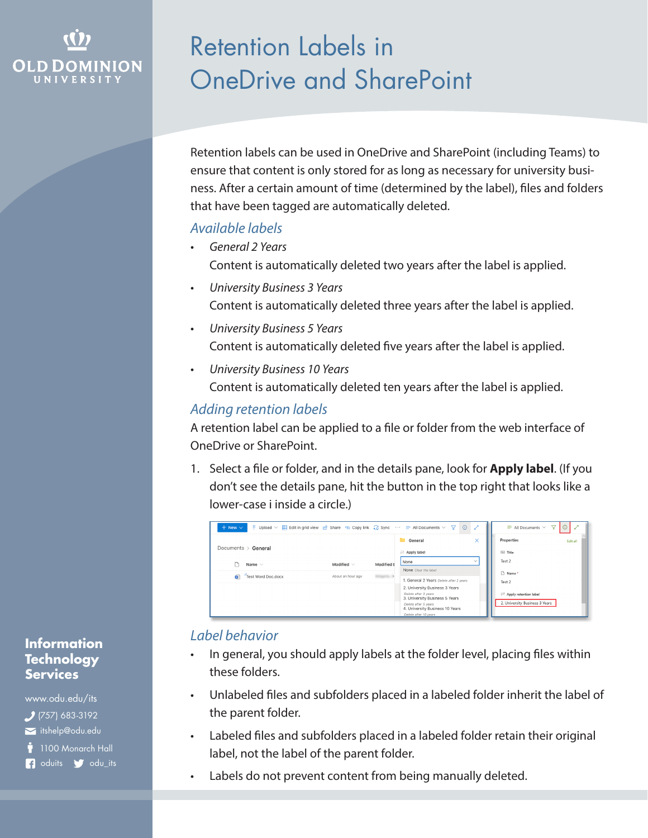# OLD DON

# Retention Labels in OneDrive and SharePoint

Retention labels can be used in OneDrive and SharePoint (including Teams) to ensure that content is only stored for as long as necessary for university business. After a certain amount of time (determined by the label), files and folders that have been tagged are automatically deleted.

### *Available labels*

- *• General 2 Years* Content is automatically deleted two years after the label is applied.
- *• University Business 3 Years* Content is automatically deleted three years after the label is applied.
- *• University Business 5 Years* Content is automatically deleted five years after the label is applied.
- *• University Business 10 Years* Content is automatically deleted ten years after the label is applied.

## *Adding retention labels*

A retention label can be applied to a file or folder from the web interface of OneDrive or SharePoint.

1. Select a file or folder, and in the details pane, look for **Apply label**. (If you don't see the details pane, hit the button in the top right that looks like a lower-case i inside a circle.)

| $\circ$<br>↗<br>$\overline{\uparrow}$ Upload $\vee$ $\overline{\uparrow}$ Edit in grid view $\overline{\uparrow}$ Share $\heartsuit$ Copy link $\overline{\uparrow}$ Sync $\cdots \equiv$ All Documents $\vee \overline{\upgamma}$<br>7<br>$+$ New $\vee$<br>$\equiv$ All Documents $\vee$<br>ω |                   |            |                                                                                                                                                                                                                                                 |              |                                                                                                      |  |  |  |  |
|-------------------------------------------------------------------------------------------------------------------------------------------------------------------------------------------------------------------------------------------------------------------------------------------------|-------------------|------------|-------------------------------------------------------------------------------------------------------------------------------------------------------------------------------------------------------------------------------------------------|--------------|------------------------------------------------------------------------------------------------------|--|--|--|--|
| Documents > General                                                                                                                                                                                                                                                                             |                   |            | <b>Ceneral</b><br>$\rightleftarrows$ Apply label                                                                                                                                                                                                | ×            | Properties<br>Edit all<br>E Title                                                                    |  |  |  |  |
| Name $\vee$                                                                                                                                                                                                                                                                                     | Modified $\vee$   | Modified E | None                                                                                                                                                                                                                                            | $\checkmark$ | Test 2                                                                                               |  |  |  |  |
| 鹵<br>Test Word Doc.docx                                                                                                                                                                                                                                                                         | About an hour ago |            | None Clear the label<br>1. General 2 Years Delete after 2 years<br>2. University Business 3 Years<br>Delete after 3 years<br>3. University Business 5 Years<br>Delete after 5 years<br>4. University Business 10 Years<br>Delete after 10 years |              | n<br>Name*<br>Test 2<br>$\rightleftharpoons$ Apply retention label<br>2. University Business 3 Years |  |  |  |  |

# *Label behavior*

- In general, you should apply labels at the folder level, placing files within these folders.
- Unlabeled files and subfolders placed in a labeled folder inherit the label of the parent folder.
- Labeled files and subfolders placed in a labeled folder retain their original label, not the label of the parent folder.
- Labels do not prevent content from being manually deleted.

#### **Information Technology Services**

www.odu.edu/its itshelp@odu.edu (757) 683-3192

1100 Monarch Hall

**f** oduits **f** odu\_its